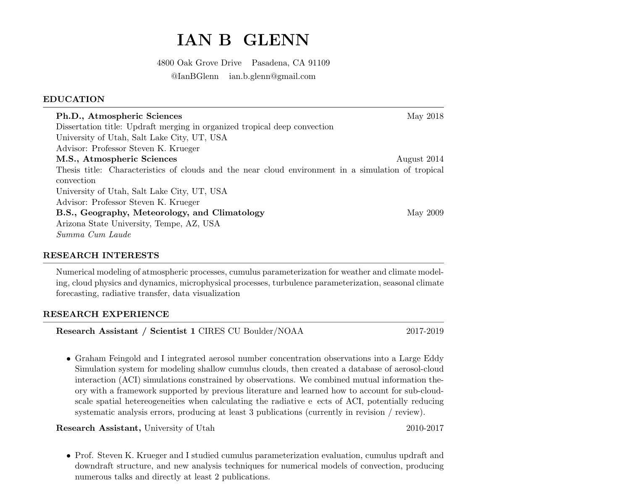### IAN B **GLENN**

4800 Oak Grove Drive Pasadena, CA 91109 @IanBGlenn ian.b.glenn@gmail.com

## **EDUCATION**

| Ph.D., Atmospheric Sciences                                                                        | May 2018    |
|----------------------------------------------------------------------------------------------------|-------------|
| Dissertation title: Updraft merging in organized tropical deep convection                          |             |
| University of Utah, Salt Lake City, UT, USA                                                        |             |
| Advisor: Professor Steven K. Krueger                                                               |             |
| M.S., Atmospheric Sciences                                                                         | August 2014 |
| Thesis title: Characteristics of clouds and the near cloud environment in a simulation of tropical |             |
| convection                                                                                         |             |
| University of Utah, Salt Lake City, UT, USA                                                        |             |
| Advisor: Professor Steven K. Krueger                                                               |             |
| B.S., Geography, Meteorology, and Climatology                                                      | May 2009    |
| Arizona State University, Tempe, AZ, USA                                                           |             |
| Summa Cum Laude                                                                                    |             |

## **RESEARCH INTERESTS**

Numerical modeling of atmospheric processes, cumulus parameterization for weather and climate modeling, cloud physics and dynamics, microphysical processes, turbulence parameterization, seasonal climate forecasting, radiative transfer, data visualization

# **RESEARCH EXPERIENCE**

Research Assistant / Scientist 1 CIRES CU Boulder/NOAA

2017-2019

• Graham Feingold and I integrated aerosol number concentration observations into a Large Eddy Simulation system for modeling shallow cumulus clouds, then created a database of aerosol-cloud interaction (ACI) simulations constrained by observations. We combined mutual information theory with a framework supported by previous literature and learned how to account for sub-cloudscale spatial heterogeneities when calculating the radiative e ects of ACI, potentially reducing systematic analysis errors, producing at least 3 publications (currently in revision / review).

**Research Assistant**, University of Utah

2010-2017

• Prof. Steven K. Krueger and I studied cumulus parameterization evaluation, cumulus updraft and downdraft structure, and new analysis techniques for numerical models of convection, producing numerous talks and directly at least 2 publications.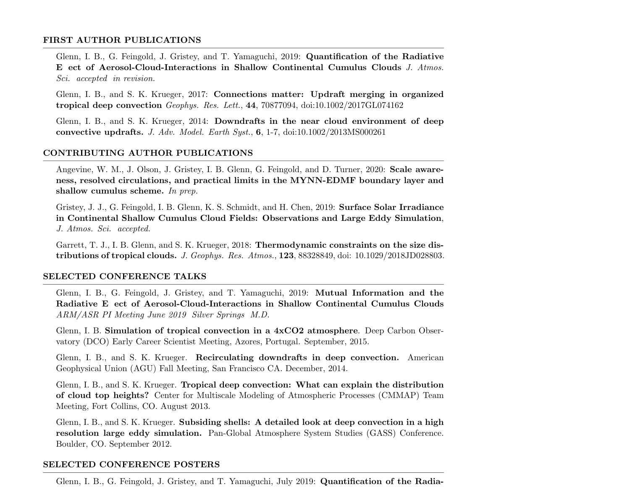### FIRST AUTHOR PUBLICATIONS

Glenn, I. B., G. Feingold, J. Gristey, and T. Yamaguchi, 2019: Quantification of the Radiative E ect of Aerosol-Cloud-Interactions in Shallow Continental Cumulus Clouds J. Atmos. Sci. accepted in revision.

Glenn, I. B., and S. K. Krueger, 2017: Connections matter: Updraft merging in organized tropical deep convection Geophys. Res. Lett., 44, 70877094, doi:10.1002/2017GL074162

Glenn, I. B., and S. K. Krueger, 2014: Downdrafts in the near cloud environment of deep convective updrafts. J. Adv. Model. Earth Syst.,  $6, 1-7, \text{doi:10.1002/2013MS000261}$ 

## CONTRIBUTING AUTHOR PUBLICATIONS

Angevine, W. M., J. Olson, J. Gristey, I. B. Glenn, G. Feingold, and D. Turner, 2020: Scale awareness, resolved circulations, and practical limits in the MYNN-EDMF boundary layer and shallow cumulus scheme. In prep.

Gristey, J. J., G. Feingold, I. B. Glenn, K. S. Schmidt, and H. Chen, 2019: Surface Solar Irradiance in Continental Shallow Cumulus Cloud Fields: Observations and Large Eddy Simulation. J. Atmos. Sci. accepted.

Garrett, T. J., I. B. Glenn, and S. K. Krueger, 2018: Thermodynamic constraints on the size distributions of tropical clouds. J. Geophys. Res. Atmos., 123, 88328849, doi: 10.1029/2018JD028803.

### **SELECTED CONFERENCE TALKS**

Glenn, I. B., G. Feingold, J. Gristey, and T. Yamaguchi, 2019: Mutual Information and the Radiative E ect of Aerosol-Cloud-Interactions in Shallow Continental Cumulus Clouds ARM/ASR PI Meeting June 2019 Silver Springs M.D.

Glenn, I. B. Simulation of tropical convection in a 4xCO2 atmosphere. Deep Carbon Observatory (DCO) Early Career Scientist Meeting, Azores, Portugal. September, 2015.

Glenn, I. B., and S. K. Krueger. Recirculating downdrafts in deep convection. American Geophysical Union (AGU) Fall Meeting, San Francisco CA. December, 2014.

Glenn, I. B., and S. K. Krueger. Tropical deep convection: What can explain the distribution of cloud top heights? Center for Multiscale Modeling of Atmospheric Processes (CMMAP) Team Meeting, Fort Collins, CO. August 2013.

Glenn, I. B., and S. K. Krueger. Subsiding shells: A detailed look at deep convection in a high resolution large eddy simulation. Pan-Global Atmosphere System Studies (GASS) Conference. Boulder, CO. September 2012.

#### **SELECTED CONFERENCE POSTERS**

Glenn, I. B., G. Feingold, J. Gristey, and T. Yamaguchi, July 2019: Quantification of the Radia-